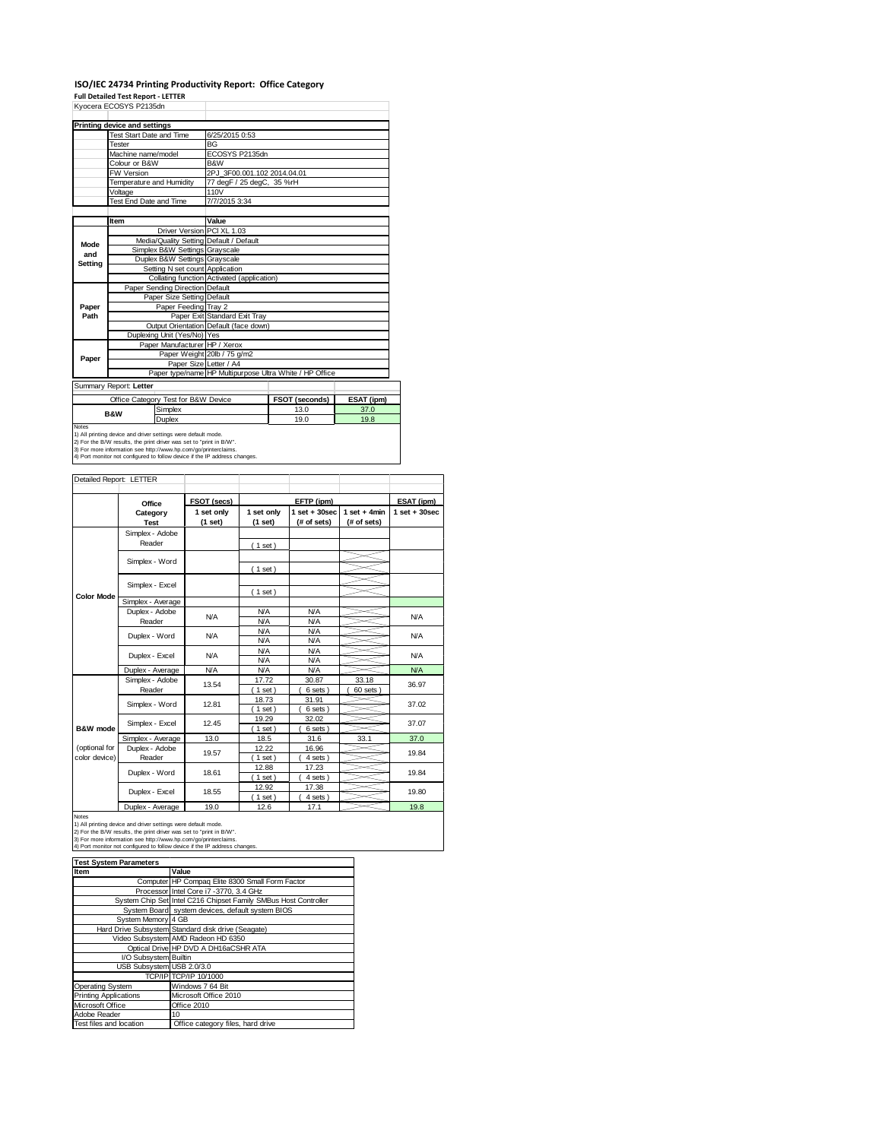# **ISO/IEC 24734 Printing Productivity Report: Office Category**

**Full Detailed Test Report ‐ LETTER**

|                                                                            | Kyocera ECOSYS P2135dn                                                                                                               |                                            |                                                         |            |  |
|----------------------------------------------------------------------------|--------------------------------------------------------------------------------------------------------------------------------------|--------------------------------------------|---------------------------------------------------------|------------|--|
|                                                                            | Printing device and settings                                                                                                         |                                            |                                                         |            |  |
|                                                                            | <b>Test Start Date and Time</b>                                                                                                      | 6/25/2015 0:53                             |                                                         |            |  |
|                                                                            | Tester                                                                                                                               | <b>BG</b>                                  |                                                         |            |  |
|                                                                            | Machine name/model                                                                                                                   | ECOSYS P2135dn                             |                                                         |            |  |
|                                                                            | Colour or B&W                                                                                                                        | B&W                                        |                                                         |            |  |
|                                                                            | <b>FW Version</b>                                                                                                                    | 2PJ 3F00.001.102 2014.04.01                |                                                         |            |  |
|                                                                            | Temperature and Humidity                                                                                                             | 77 degF / 25 degC, 35 %rH                  |                                                         |            |  |
|                                                                            | Voltage                                                                                                                              | 110V                                       |                                                         |            |  |
|                                                                            | Test End Date and Time                                                                                                               | 7/7/2015 3:34                              |                                                         |            |  |
|                                                                            |                                                                                                                                      |                                            |                                                         |            |  |
|                                                                            | Item                                                                                                                                 | Value                                      |                                                         |            |  |
|                                                                            | Driver Version PCI XL 1.03                                                                                                           |                                            |                                                         |            |  |
| Mode                                                                       | Media/Quality Setting Default / Default                                                                                              |                                            |                                                         |            |  |
| and                                                                        | Simplex B&W Settings Grayscale                                                                                                       |                                            |                                                         |            |  |
| Setting                                                                    | Duplex B&W Settings Grayscale                                                                                                        |                                            |                                                         |            |  |
|                                                                            | Setting N set count Application                                                                                                      |                                            |                                                         |            |  |
|                                                                            |                                                                                                                                      | Collating function Activated (application) |                                                         |            |  |
|                                                                            | Paper Sending Direction Default                                                                                                      |                                            |                                                         |            |  |
|                                                                            | Paper Size Setting Default                                                                                                           |                                            |                                                         |            |  |
| Paper                                                                      | Paper Feeding Trav 2                                                                                                                 |                                            |                                                         |            |  |
| Path                                                                       |                                                                                                                                      | Paper Exit Standard Exit Tray              |                                                         |            |  |
|                                                                            |                                                                                                                                      | Output Orientation Default (face down)     |                                                         |            |  |
|                                                                            | Duplexing Unit (Yes/No) Yes                                                                                                          |                                            |                                                         |            |  |
|                                                                            | Paper Manufacturer HP / Xerox                                                                                                        |                                            |                                                         |            |  |
| Paper                                                                      |                                                                                                                                      | Paper Weight 20lb / 75 g/m2                |                                                         |            |  |
|                                                                            | Paper Size Letter / A4                                                                                                               |                                            |                                                         |            |  |
|                                                                            |                                                                                                                                      |                                            | Paper type/name HP Multipurpose Ultra White / HP Office |            |  |
|                                                                            | Summary Report: Letter                                                                                                               |                                            |                                                         |            |  |
|                                                                            | Office Category Test for B&W Device                                                                                                  |                                            | FSOT (seconds)                                          | ESAT (ipm) |  |
|                                                                            | Simplex<br><b>B&amp;W</b>                                                                                                            |                                            | 13.0                                                    | 37.0       |  |
|                                                                            | Duplex                                                                                                                               |                                            | 19.0                                                    | 19.8       |  |
| <b>Notes</b>                                                               |                                                                                                                                      |                                            |                                                         |            |  |
|                                                                            | 1) All printing device and driver settings were default mode.<br>2) For the B/W results, the print driver was set to "print in B/W". |                                            |                                                         |            |  |
|                                                                            | 3) For more information see http://www.hp.com/go/printerclaims.                                                                      |                                            |                                                         |            |  |
| 4) Port monitor not configured to follow device if the IP address changes. |                                                                                                                                      |                                            |                                                         |            |  |

| Detailed Report: LETTER        |                           |                       |                          |                                  |                               |                   |
|--------------------------------|---------------------------|-----------------------|--------------------------|----------------------------------|-------------------------------|-------------------|
|                                | Office                    | FSOT (secs)           |                          | EFTP (ipm)                       |                               | ESAT (ipm)        |
|                                | Category<br><b>Test</b>   | 1 set only<br>(1 set) | 1 set only<br>(1 set)    | $1$ set $+30$ sec<br>(# of sets) | $1$ set + 4min<br>(# of sets) | $1$ set $+30$ sec |
|                                | Simplex - Adobe<br>Reader |                       | (1 set)                  |                                  |                               |                   |
|                                | Simplex - Word            |                       | (1 set)                  |                                  |                               |                   |
|                                | Simplex - Excel           |                       |                          |                                  |                               |                   |
| <b>Color Mode</b>              | Simplex - Average         |                       | (1 set)                  |                                  |                               |                   |
|                                | Duplex - Adobe<br>Reader  | <b>N/A</b>            | <b>N/A</b><br><b>N/A</b> | <b>N/A</b><br><b>N/A</b>         |                               | <b>N/A</b>        |
|                                | Duplex - Word             | N/A                   | <b>N/A</b><br><b>N/A</b> | <b>N/A</b><br><b>N/A</b>         |                               | <b>N/A</b>        |
|                                | Duplex - Excel            | N/A                   | <b>N/A</b><br><b>N/A</b> | <b>N/A</b><br><b>N/A</b>         |                               | <b>N/A</b>        |
|                                | Duplex - Average          | <b>N/A</b>            | <b>N/A</b>               | <b>N/A</b>                       |                               | <b>N/A</b>        |
|                                | Simplex - Adobe<br>Reader | 13.54                 | 17.72<br>$1$ set)        | 30.87<br>6 sets)                 | 33.18<br>60 sets              | 36.97             |
|                                | Simplex - Word            | 12.81                 | 18.73<br>$1$ set)        | 31.91<br>6 sets)                 |                               | 37.02             |
| B&W mode                       | Simplex - Excel           | 12.45                 | 19.29<br>$1$ set)        | 32.02<br>6 sets)                 |                               | 37.07             |
|                                | Simplex - Average         | 13.0                  | 18.5                     | 31.6                             | 33.1                          | 37.0              |
| (optional for<br>color device) | Duplex - Adobe<br>Reader  | 19.57                 | 12.22<br>$1$ set)        | 16.96<br>4 sets)                 |                               | 19.84             |
|                                | Duplex - Word             | 18.61                 | 12.88<br>$1$ set)        | 17.23<br>4 sets)                 |                               | 19.84             |
|                                | Duplex - Excel            | 18.55                 | 12.92<br>$1$ set)        | 17.38<br>4 sets)                 |                               | 19.80             |
|                                | Donation of the Con-      | $\sim$                | $\sim$                   | $\rightarrow -$                  |                               | $\sim$            |

Notes<br>
19.0 12.6 17.1 12.6 17.1 12.6 18.<br>
1) All printing device and driver settings were default mode.<br>
2) For the B/W results, the print driver was set to "print in B/W".<br>
3) For more information see http://www.hp.com/

| <b>Test System Parameters</b> |                                                                 |
|-------------------------------|-----------------------------------------------------------------|
| Item                          | Value                                                           |
|                               | Computer HP Compaq Elite 8300 Small Form Factor                 |
|                               | Processor Intel Core i7 -3770, 3.4 GHz                          |
|                               | System Chip Set Intel C216 Chipset Family SMBus Host Controller |
|                               | System Board system devices, default system BIOS                |
| System Memory 4 GB            |                                                                 |
|                               | Hard Drive Subsystem Standard disk drive (Seagate)              |
|                               | Video Subsystem AMD Radeon HD 6350                              |
|                               | Optical Drive HP DVD A DH16aCSHR ATA                            |
| I/O Subsystem Builtin         |                                                                 |
| USB Subsystem USB 2.0/3.0     |                                                                 |
|                               | TCP/IP TCP/IP 10/1000                                           |
| Operating System              | Windows 7 64 Bit                                                |
| <b>Printing Applications</b>  | Microsoft Office 2010                                           |
| Microsoft Office              | Office 2010                                                     |
| Adobe Reader                  | 10                                                              |
| Test files and location       | Office category files, hard drive                               |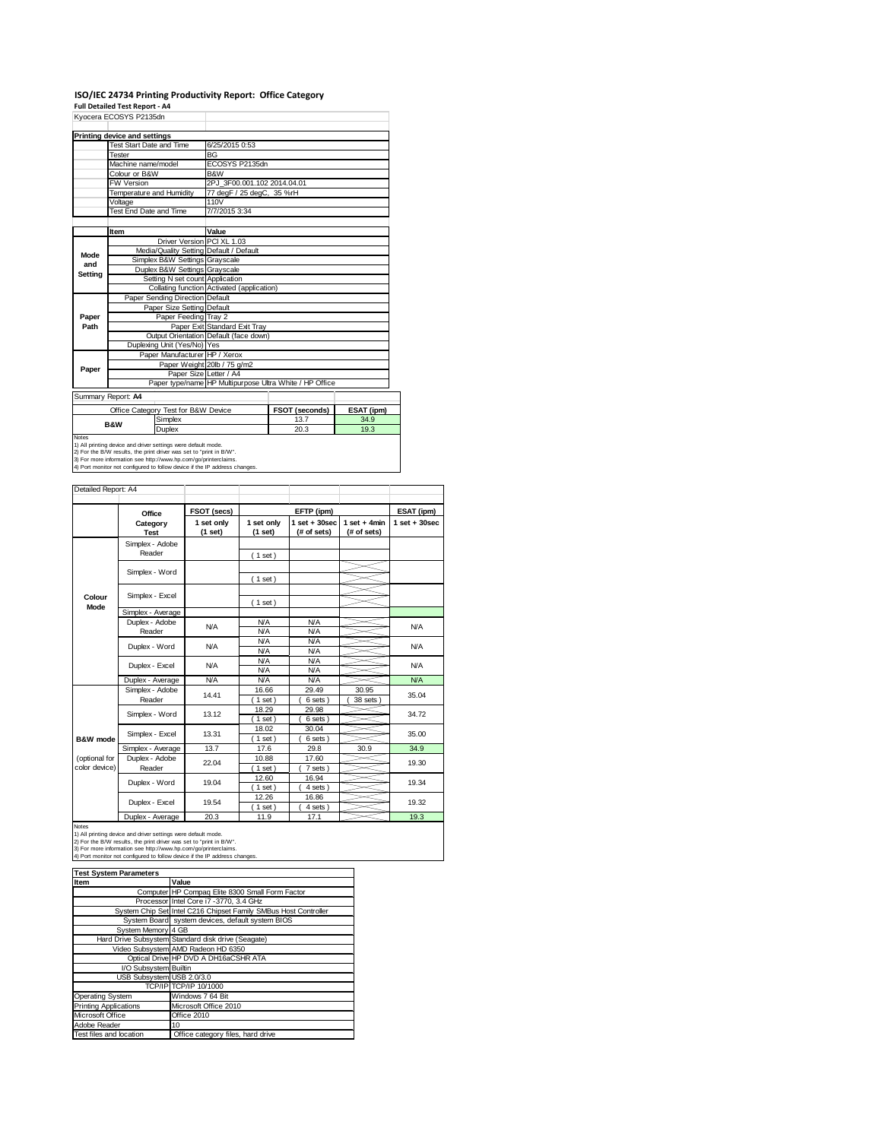# **ISO/IEC 24734 Printing Productivity Report: Office Category Full Detailed Test Report ‐ A4** Kyocera ECOSYS P2135dn

|                                                                               | NYULEIA EUUJTO FZTJUUII       |                                     |                                                         |                |            |  |
|-------------------------------------------------------------------------------|-------------------------------|-------------------------------------|---------------------------------------------------------|----------------|------------|--|
|                                                                               | Printing device and settings  |                                     |                                                         |                |            |  |
|                                                                               | Test Start Date and Time      |                                     | 6/25/2015 0:53                                          |                |            |  |
|                                                                               | Tester                        |                                     | <b>BG</b>                                               |                |            |  |
|                                                                               | Machine name/model            |                                     | ECOSYS P2135dn                                          |                |            |  |
|                                                                               | Colour or B&W                 |                                     | B&W                                                     |                |            |  |
|                                                                               | <b>FW Version</b>             |                                     | 2PJ 3F00.001.102 2014.04.01                             |                |            |  |
|                                                                               |                               | Temperature and Humidity            | 77 degF / 25 degC, 35 %rH                               |                |            |  |
|                                                                               | Voltage                       |                                     | 110V                                                    |                |            |  |
|                                                                               | <b>Test End Date and Time</b> |                                     | 7/7/2015 3:34                                           |                |            |  |
|                                                                               |                               |                                     |                                                         |                |            |  |
|                                                                               | Item                          |                                     | Value                                                   |                |            |  |
|                                                                               |                               | Driver Version PCI XL 1.03          |                                                         |                |            |  |
| Mode                                                                          |                               |                                     | Media/Quality Setting Default / Default                 |                |            |  |
| and                                                                           |                               | Simplex B&W Settings Grayscale      |                                                         |                |            |  |
| Setting                                                                       |                               | Duplex B&W Settings Grayscale       |                                                         |                |            |  |
|                                                                               |                               | Setting N set count Application     |                                                         |                |            |  |
|                                                                               |                               |                                     | Collating function Activated (application)              |                |            |  |
|                                                                               |                               | Paper Sending Direction Default     |                                                         |                |            |  |
|                                                                               |                               | Paper Size Setting Default          |                                                         |                |            |  |
| Paper                                                                         |                               | Paper Feeding Tray 2                |                                                         |                |            |  |
| Path                                                                          |                               |                                     | Paper Exit Standard Exit Tray                           |                |            |  |
|                                                                               |                               |                                     | Output Orientation Default (face down)                  |                |            |  |
|                                                                               |                               | Duplexing Unit (Yes/No) Yes         |                                                         |                |            |  |
|                                                                               |                               | Paper Manufacturer HP / Xerox       |                                                         |                |            |  |
| Paper                                                                         |                               |                                     | Paper Weight 20lb / 75 g/m2                             |                |            |  |
|                                                                               |                               | Paper Size Letter / A4              |                                                         |                |            |  |
|                                                                               |                               |                                     | Paper type/name HP Multipurpose Ultra White / HP Office |                |            |  |
|                                                                               | Summary Report: A4            |                                     |                                                         |                |            |  |
|                                                                               |                               | Office Category Test for B&W Device |                                                         | FSOT (seconds) | ESAT (ipm) |  |
|                                                                               |                               | Simplex                             |                                                         | 13.7           | 34.9       |  |
|                                                                               | <b>B&amp;W</b>                | <b>Duplex</b>                       |                                                         | 20.3           | 19.3       |  |
| <b>Notes</b><br>1) All printing device and driver settings were default mode. |                               |                                     |                                                         |                |            |  |

1) All printing device and driver settings were default mode.<br>2) For the B/W results, the print driver was set to "print in B/W".<br>3) For more information see http://www.hp.com/go/printerclaims.<br>4) Port monitor not configur

|                     | ∩ffice | FSOT (secs) |  |
|---------------------|--------|-------------|--|
|                     |        |             |  |
| Detailed Report: A4 |        |             |  |

|                                                                                                                                                                                                                                                                                                | Office            | FSOT (secs)<br>EFTP (ipm) |            | ESAT (ipm)        |                |                   |
|------------------------------------------------------------------------------------------------------------------------------------------------------------------------------------------------------------------------------------------------------------------------------------------------|-------------------|---------------------------|------------|-------------------|----------------|-------------------|
|                                                                                                                                                                                                                                                                                                | Category          | 1 set only                | 1 set only | $1$ set $+30$ sec | $1$ set + 4min | $1$ set $+30$ sec |
|                                                                                                                                                                                                                                                                                                | <b>Test</b>       | (1 set)                   | $(1$ set)  | (# of sets)       | (# of sets)    |                   |
|                                                                                                                                                                                                                                                                                                | Simplex - Adobe   |                           |            |                   |                |                   |
|                                                                                                                                                                                                                                                                                                | Reader            |                           | (1 set)    |                   |                |                   |
|                                                                                                                                                                                                                                                                                                |                   |                           |            |                   |                |                   |
|                                                                                                                                                                                                                                                                                                | Simplex - Word    |                           |            |                   |                |                   |
|                                                                                                                                                                                                                                                                                                |                   |                           | (1 set)    |                   |                |                   |
| Colour                                                                                                                                                                                                                                                                                         | Simplex - Excel   |                           |            |                   |                |                   |
| Mode                                                                                                                                                                                                                                                                                           |                   |                           | (1 set)    |                   |                |                   |
|                                                                                                                                                                                                                                                                                                | Simplex - Average |                           |            |                   |                |                   |
|                                                                                                                                                                                                                                                                                                | Duplex - Adobe    | N/A                       | <b>N/A</b> | <b>N/A</b>        |                | <b>N/A</b>        |
|                                                                                                                                                                                                                                                                                                | Reader            |                           | <b>N/A</b> | <b>N/A</b>        |                |                   |
|                                                                                                                                                                                                                                                                                                |                   | N/A                       | <b>N/A</b> | <b>N/A</b>        |                | <b>N/A</b>        |
|                                                                                                                                                                                                                                                                                                | Duplex - Word     |                           | <b>N/A</b> | <b>N/A</b>        |                |                   |
|                                                                                                                                                                                                                                                                                                | Duplex - Excel    | N/A                       | <b>N/A</b> | <b>N/A</b>        |                | <b>N/A</b>        |
|                                                                                                                                                                                                                                                                                                |                   |                           | <b>N/A</b> | <b>N/A</b>        |                |                   |
|                                                                                                                                                                                                                                                                                                | Duplex - Average  | <b>N/A</b>                | <b>N/A</b> | <b>N/A</b>        |                | <b>N/A</b>        |
|                                                                                                                                                                                                                                                                                                | Simplex - Adobe   |                           | 16.66      | 29.49             | 30.95          | 35.04             |
|                                                                                                                                                                                                                                                                                                | Reader            | 14.41                     | 1 set)     | 6 sets)           | 38 sets        |                   |
|                                                                                                                                                                                                                                                                                                | Simplex - Word    | 13.12                     | 18.29      | 29.98             |                | 34.72             |
|                                                                                                                                                                                                                                                                                                |                   |                           | (1 set)    | 6 sets)           |                |                   |
|                                                                                                                                                                                                                                                                                                | Simplex - Excel   | 13.31                     | 18.02      | 30.04             |                | 35.00             |
| B&W mode                                                                                                                                                                                                                                                                                       |                   |                           | $1$ set)   | 6 sets)           |                |                   |
|                                                                                                                                                                                                                                                                                                | Simplex - Average | 13.7                      | 17.6       | 29.8              | 30.9           | 34.9              |
| (optional for                                                                                                                                                                                                                                                                                  | Duplex - Adobe    | 22.04                     | 10.88      | 17.60             |                | 19.30             |
| color device)                                                                                                                                                                                                                                                                                  | Reader            |                           | $1$ set)   | 7 sets)           |                |                   |
|                                                                                                                                                                                                                                                                                                | Duplex - Word     | 19.04                     | 12.60      | 16.94             |                | 19.34             |
|                                                                                                                                                                                                                                                                                                |                   |                           | $1$ set)   | 4 sets)           |                |                   |
|                                                                                                                                                                                                                                                                                                | Duplex - Excel    | 19.54                     | 12.26      | 16.86             |                | 19.32             |
|                                                                                                                                                                                                                                                                                                |                   |                           | $1$ set)   | 4 sets            |                |                   |
|                                                                                                                                                                                                                                                                                                | Duplex - Average  | 20.3                      | 11.9       | 17.1              |                | 19.3              |
| Notes<br>1) All printing device and driver settings were default mode.<br>2) For the B/W results, the print driver was set to "print in B/W".<br>3) For more information see http://www.hp.com/go/printerclaims.<br>4) Port monitor not configured to follow device if the IP address changes. |                   |                           |            |                   |                |                   |

| <b>Test System Parameters</b> |                                                                 |
|-------------------------------|-----------------------------------------------------------------|
| Item                          | Value                                                           |
|                               | Computer HP Compaq Elite 8300 Small Form Factor                 |
|                               | Processor Intel Core i7 -3770, 3.4 GHz                          |
|                               | System Chip Set Intel C216 Chipset Family SMBus Host Controller |
|                               | System Board system devices, default system BIOS                |
| System Memory 4 GB            |                                                                 |
|                               | Hard Drive Subsystem Standard disk drive (Seagate)              |
|                               | Video Subsystem AMD Radeon HD 6350                              |
|                               | Optical Drive HP DVD A DH16aCSHR ATA                            |
| I/O Subsystem Builtin         |                                                                 |
| USB Subsystem USB 2.0/3.0     |                                                                 |
|                               | TCP/IP TCP/IP 10/1000                                           |
| Operating System              | Windows 7 64 Bit                                                |
| <b>Printing Applications</b>  | Microsoft Office 2010                                           |
| Microsoft Office              | Office 2010                                                     |
| Adobe Reader                  | 10                                                              |
| Test files and location       | Office category files, hard drive                               |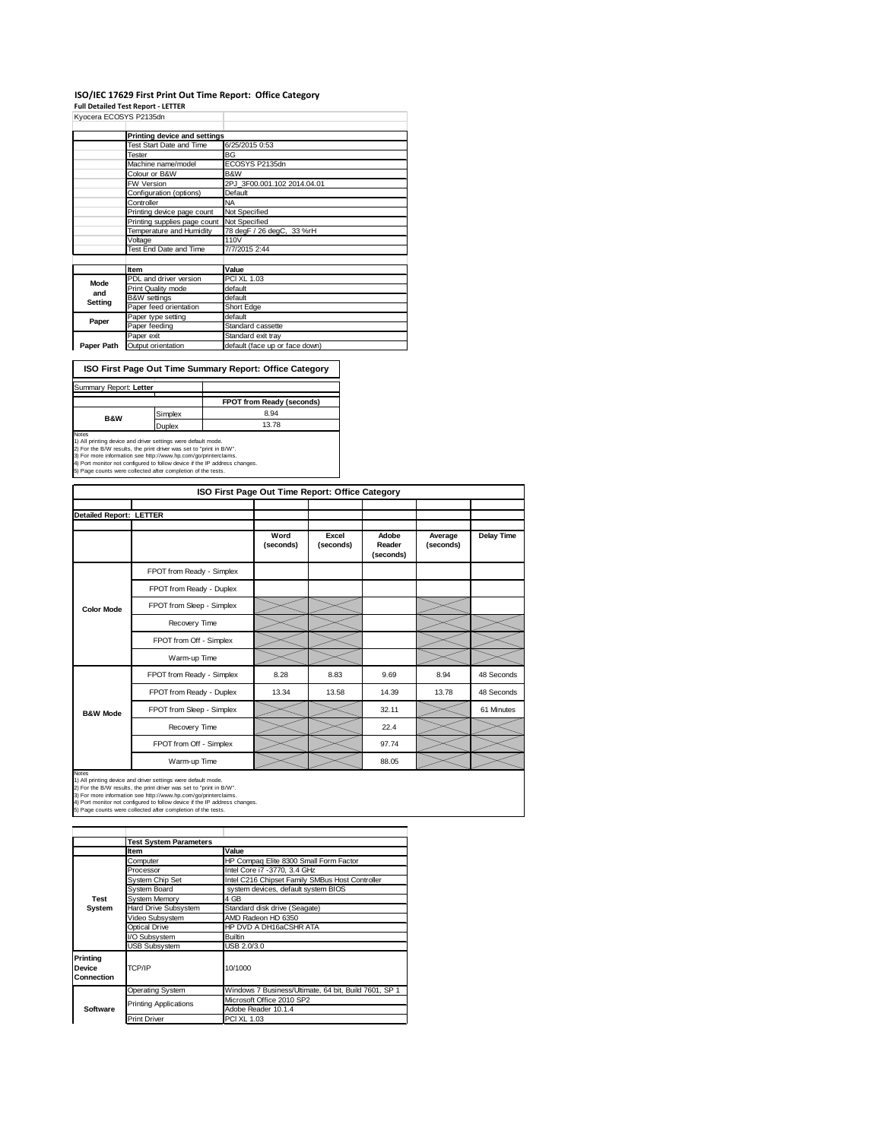### **ISO/IEC 17629 First Print Out Time Report: Office Category**

**Full Detailed Test Report ‐ LETTER**

| Kyocera ECOSYS P2135dn |                              |                                |
|------------------------|------------------------------|--------------------------------|
|                        | Printing device and settings |                                |
|                        | Test Start Date and Time     | 6/25/2015 0:53                 |
|                        | Tester                       | BG                             |
|                        | Machine name/model           | ECOSYS P2135dn                 |
|                        | Colour or B&W                | B&W                            |
|                        | FW Version                   | 2PJ 3F00.001.102 2014.04.01    |
|                        | Configuration (options)      | Default                        |
|                        | Controller                   | <b>NA</b>                      |
|                        | Printing device page count   | Not Specified                  |
|                        | Printing supplies page count | Not Specified                  |
|                        | Temperature and Humidity     | 78 degF / 26 degC, 33 %rH      |
|                        | Voltage                      | 110V                           |
|                        | Test End Date and Time       | 7/7/2015 2:44                  |
|                        |                              |                                |
|                        | Item                         | Value                          |
| Mode                   | PDL and driver version       | PCI XL 1.03                    |
| and                    | Print Quality mode           | default                        |
| Setting                | <b>B&amp;W</b> settings      | default                        |
|                        | Paper feed orientation       | Short Edge                     |
| Paper                  | Paper type setting           | default                        |
|                        | Paper feeding                | Standard cassette              |
|                        | Paper exit                   | Standard exit tray             |
| Paper Path             | Output orientation           | default (face up or face down) |

**ISO First Page Out Time Summary Report: Office Category**

| Summary Report: Letter |         |                                  |
|------------------------|---------|----------------------------------|
|                        |         | <b>FPOT from Ready (seconds)</b> |
| <b>B&amp;W</b>         | Simplex | 8.94                             |
|                        | Duplex  | 13.78                            |
| Notes                  |         |                                  |

Notes<br>1) All printing device and driver settings were default mode.<br>2) For the B/W results, the print driver was set to "print in B/W".<br>3) For more information see http://www.hp.com/go/printerclaims.<br>4) Port monitor not co

|                                | ISO First Page Out Time Report: Office Category                                                                                                                                                                                                                                                                                                       |                   |                    |                              |                      |                   |
|--------------------------------|-------------------------------------------------------------------------------------------------------------------------------------------------------------------------------------------------------------------------------------------------------------------------------------------------------------------------------------------------------|-------------------|--------------------|------------------------------|----------------------|-------------------|
|                                |                                                                                                                                                                                                                                                                                                                                                       |                   |                    |                              |                      |                   |
| <b>Detailed Report: LETTER</b> |                                                                                                                                                                                                                                                                                                                                                       |                   |                    |                              |                      |                   |
|                                |                                                                                                                                                                                                                                                                                                                                                       | Word<br>(seconds) | Excel<br>(seconds) | Adobe<br>Reader<br>(seconds) | Average<br>(seconds) | <b>Delay Time</b> |
|                                | FPOT from Ready - Simplex                                                                                                                                                                                                                                                                                                                             |                   |                    |                              |                      |                   |
|                                | FPOT from Ready - Duplex                                                                                                                                                                                                                                                                                                                              |                   |                    |                              |                      |                   |
| <b>Color Mode</b>              | FPOT from Sleep - Simplex                                                                                                                                                                                                                                                                                                                             |                   |                    |                              |                      |                   |
|                                | Recovery Time                                                                                                                                                                                                                                                                                                                                         |                   |                    |                              |                      |                   |
|                                | FPOT from Off - Simplex                                                                                                                                                                                                                                                                                                                               |                   |                    |                              |                      |                   |
|                                | Warm-up Time                                                                                                                                                                                                                                                                                                                                          |                   |                    |                              |                      |                   |
|                                | FPOT from Ready - Simplex                                                                                                                                                                                                                                                                                                                             | 8.28              | 8.83               | 9.69                         | 8.94                 | 48 Seconds        |
|                                | FPOT from Ready - Duplex                                                                                                                                                                                                                                                                                                                              | 13.34             | 13.58              | 14.39                        | 13.78                | 48 Seconds        |
| <b>B&amp;W Mode</b>            | FPOT from Sleep - Simplex                                                                                                                                                                                                                                                                                                                             |                   |                    | 32.11                        |                      | 61 Minutes        |
|                                | Recovery Time                                                                                                                                                                                                                                                                                                                                         |                   |                    | 22.4                         |                      |                   |
|                                | FPOT from Off - Simplex                                                                                                                                                                                                                                                                                                                               |                   |                    | 97.74                        |                      |                   |
|                                | Warm-up Time                                                                                                                                                                                                                                                                                                                                          |                   |                    | 88.05                        |                      |                   |
| Notes                          | 1) All printing device and driver settings were default mode.<br>2) For the B/W results, the print driver was set to "print in B/W".<br>3) For more information see http://www.hp.com/go/printerclaims.<br>4) Port monitor not configured to follow device if the IP address changes.<br>5) Page counts were collected after completion of the tests. |                   |                    |                              |                      |                   |

|                                         | <b>Test System Parameters</b> |                                                       |  |
|-----------------------------------------|-------------------------------|-------------------------------------------------------|--|
|                                         | Item                          | Value                                                 |  |
|                                         | Computer                      | HP Compaq Elite 8300 Small Form Factor                |  |
|                                         | Processor                     | Intel Core i7 -3770, 3.4 GHz                          |  |
|                                         | System Chip Set               | Intel C216 Chipset Family SMBus Host Controller       |  |
|                                         | <b>System Board</b>           | system devices, default system BIOS                   |  |
| <b>Test</b>                             | <b>System Memory</b>          | 4 GB                                                  |  |
| System                                  | Hard Drive Subsystem          | Standard disk drive (Seagate)                         |  |
|                                         | Video Subsystem               | AMD Radeon HD 6350                                    |  |
|                                         | Optical Drive                 | HP DVD A DH16aCSHR ATA                                |  |
|                                         | I/O Subsystem                 | Builtin                                               |  |
|                                         | <b>USB Subsystem</b>          | USB 2.0/3.0                                           |  |
| Printina<br><b>Device</b><br>Connection | TCP/IP                        | 10/1000                                               |  |
|                                         | <b>Operating System</b>       | Windows 7 Business/Ultimate, 64 bit, Build 7601, SP 1 |  |
| Software                                | <b>Printing Applications</b>  | Microsoft Office 2010 SP2                             |  |
|                                         |                               | Adobe Reader 10.1.4                                   |  |
|                                         | <b>Print Driver</b>           | PCI XL 1.03                                           |  |